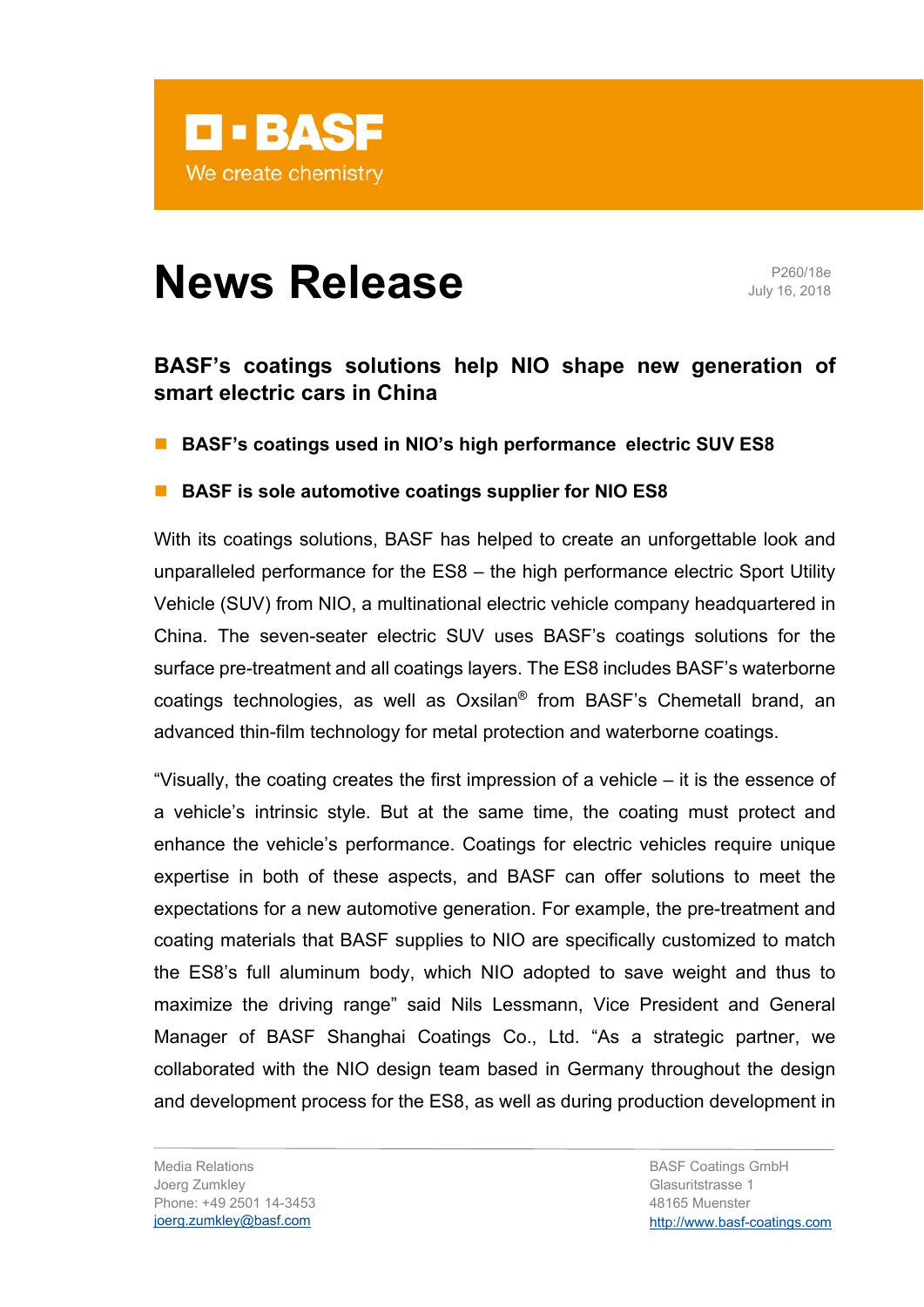

# **News Release** P260/18e

July 16, 2018

## **BASF's coatings solutions help NIO shape new generation of smart electric cars in China**

**BASF's coatings used in NIO's high performance electric SUV ES8** 

## **BASF** is sole automotive coatings supplier for NIO ES8

With its coatings solutions, BASF has helped to create an unforgettable look and unparalleled performance for the ES8 – the high performance electric Sport Utility Vehicle (SUV) from NIO, a multinational electric vehicle company headquartered in China. The seven-seater electric SUV uses BASF's coatings solutions for the surface pre-treatment and all coatings layers. The ES8 includes BASF's waterborne coatings technologies, as well as Oxsilan® from BASF's Chemetall brand, an advanced thin-film technology for metal protection and waterborne coatings.

"Visually, the coating creates the first impression of a vehicle – it is the essence of a vehicle's intrinsic style. But at the same time, the coating must protect and enhance the vehicle's performance. Coatings for electric vehicles require unique expertise in both of these aspects, and BASF can offer solutions to meet the expectations for a new automotive generation. For example, the pre-treatment and coating materials that BASF supplies to NIO are specifically customized to match the ES8's full aluminum body, which NIO adopted to save weight and thus to maximize the driving range" said Nils Lessmann, Vice President and General Manager of BASF Shanghai Coatings Co., Ltd. "As a strategic partner, we collaborated with the NIO design team based in Germany throughout the design and development process for the ES8, as well as during production development in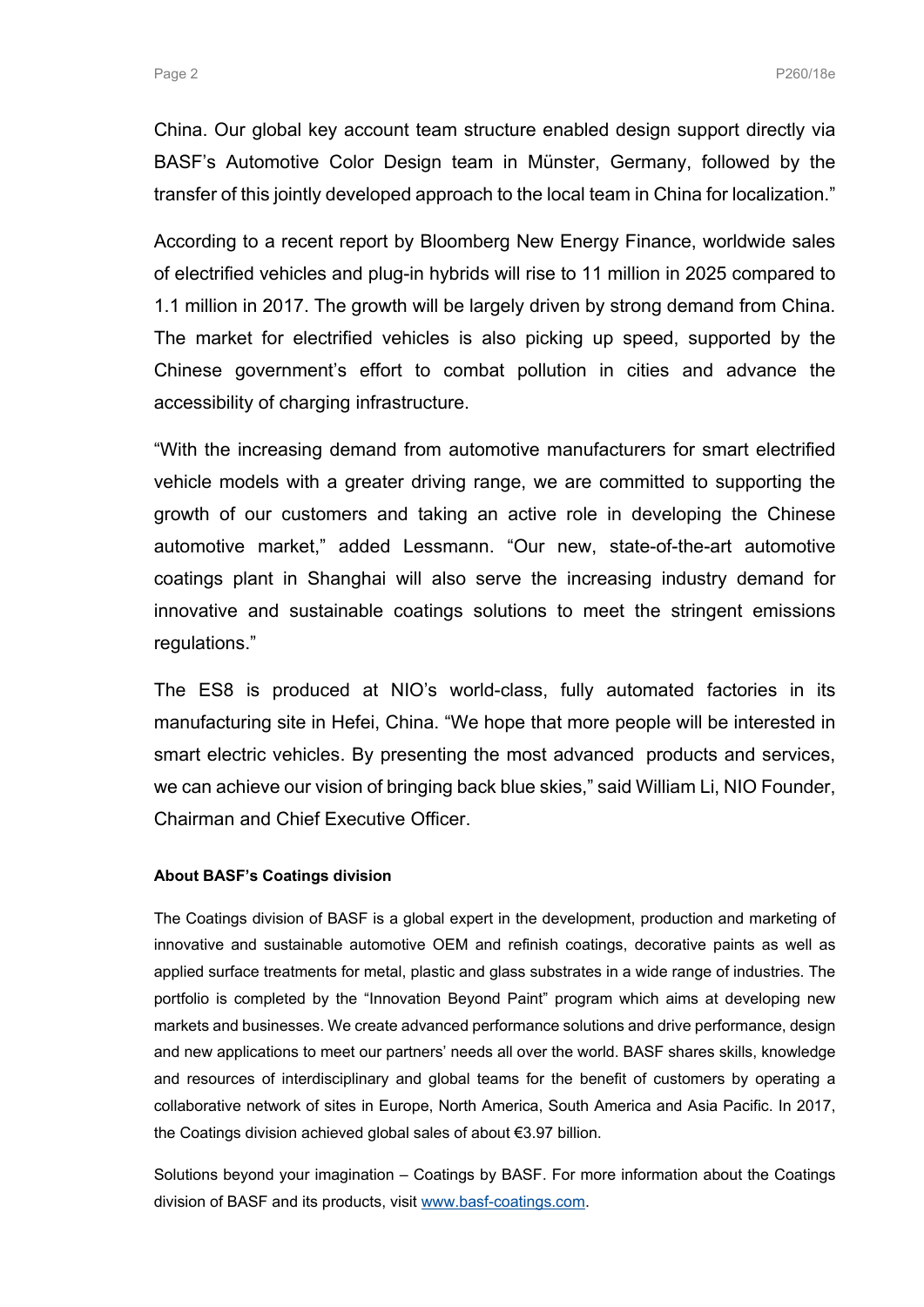China. Our global key account team structure enabled design support directly via BASF's Automotive Color Design team in Münster, Germany, followed by the transfer of this jointly developed approach to the local team in China for localization."

According to a recent report by Bloomberg New Energy Finance, worldwide sales of electrified vehicles and plug-in hybrids will rise to 11 million in 2025 compared to 1.1 million in 2017. The growth will be largely driven by strong demand from China. The market for electrified vehicles is also picking up speed, supported by the Chinese government's effort to combat pollution in cities and advance the accessibility of charging infrastructure.

"With the increasing demand from automotive manufacturers for smart electrified vehicle models with a greater driving range, we are committed to supporting the growth of our customers and taking an active role in developing the Chinese automotive market," added Lessmann. "Our new, state-of-the-art automotive coatings plant in Shanghai will also serve the increasing industry demand for innovative and sustainable coatings solutions to meet the stringent emissions regulations."

The ES8 is produced at NIO's world-class, fully automated factories in its manufacturing site in Hefei, China. "We hope that more people will be interested in smart electric vehicles. By presenting the most advanced products and services, we can achieve our vision of bringing back blue skies," said William Li, NIO Founder, Chairman and Chief Executive Officer.

#### **About BASF's Coatings division**

The Coatings division of BASF is a global expert in the development, production and marketing of innovative and sustainable automotive OEM and refinish coatings, decorative paints as well as applied surface treatments for metal, plastic and glass substrates in a wide range of industries. The portfolio is completed by the "Innovation Beyond Paint" program which aims at developing new markets and businesses. We create advanced performance solutions and drive performance, design and new applications to meet our partners' needs all over the world. BASF shares skills, knowledge and resources of interdisciplinary and global teams for the benefit of customers by operating a collaborative network of sites in Europe, North America, South America and Asia Pacific. In 2017, the Coatings division achieved global sales of about €3.97 billion.

Solutions beyond your imagination – Coatings by BASF. For more information about the Coatings division of BASF and its products, visit www.basf-coatings.com.